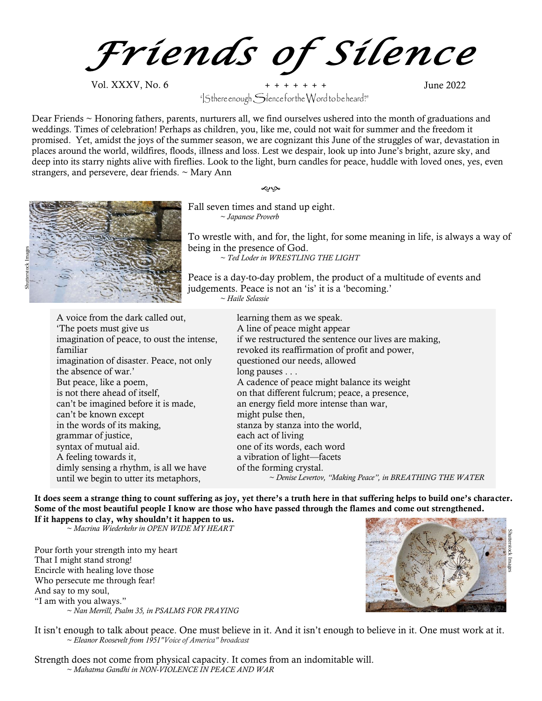*Friends of Silence*

Vol. XXXV, No. 6 **+ + + + + + +** June 2022  $\mathsf{``|}\mathsf{S}$ there enough $\mathsf{``|}\mathsf{S}$ ilence for the Word to be heard?"

Dear Friends ~ Honoring fathers, parents, nurturers all, we find ourselves ushered into the month of graduations and weddings. Times of celebration! Perhaps as children, you, like me, could not wait for summer and the freedom it promised. Yet, amidst the joys of the summer season, we are cognizant this June of the struggles of war, devastation in places around the world, wildfires, floods, illness and loss. Lest we despair, look up into June's bright, azure sky, and deep into its starry nights alive with fireflies. Look to the light, burn candles for peace, huddle with loved ones, yes, even strangers, and persevere, dear friends. ~ Mary Ann

حاته

Fall seven times and stand up eight. *~ Japanese Proverb*

To wrestle with, and for, the light, for some meaning in life, is always a way of being in the presence of God.

*~ Ted Loder in WRESTLING THE LIGHT*

Peace is a day-to-day problem, the product of a multitude of events and judgements. Peace is not an 'is' it is a 'becoming.' *~ Haile Selassie*

A voice from the dark called out, 'The poets must give us imagination of peace, to oust the intense, familiar imagination of disaster. Peace, not only the absence of war.' But peace, like a poem, is not there ahead of itself, can't be imagined before it is made, can't be known except in the words of its making, grammar of justice, syntax of mutual aid. A feeling towards it, dimly sensing a rhythm, is all we have until we begin to utter its metaphors,

learning them as we speak. A line of peace might appear if we restructured the sentence our lives are making, revoked its reaffirmation of profit and power, questioned our needs, allowed long pauses . . . A cadence of peace might balance its weight on that different fulcrum; peace, a presence, an energy field more intense than war, might pulse then, stanza by stanza into the world, each act of living one of its words, each word a vibration of light—facets of the forming crystal. *~ Denise Levertov, "Making Peace", in BREATHING THE WATER*

It does seem a strange thing to count suffering as joy, yet there's a truth here in that suffering helps to build one's character. Some of the most beautiful people I know are those who have passed through the flames and come out strengthened. If it happens to clay, why shouldn't it happen to us.

*~ Macrina Wiederkehr in OPEN WIDE MY HEART*

Pour forth your strength into my heart That I might stand strong! Encircle with healing love those Who persecute me through fear! And say to my soul, "I am with you always." *~ Nan Merrill, Psalm 35, in PSALMS FOR PRAYING*



It isn't enough to talk about peace. One must believe in it. And it isn't enough to believe in it. One must work at it. *~ Eleanor Roosevelt from 1951"Voice of America" broadcast* 

Strength does not come from physical capacity. It comes from an indomitable will. *~ Mahatma Gandhi in NON-VIOLENCE IN PEACE AND WAR*